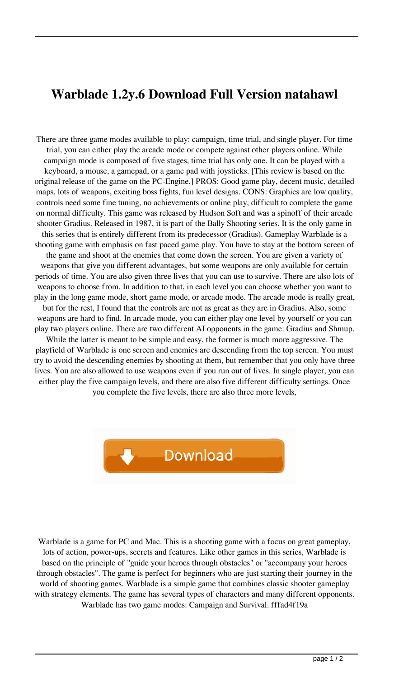## **Warblade 1.2y.6 Download Full Version natahawl**

There are three game modes available to play: campaign, time trial, and single player. For time trial, you can either play the arcade mode or compete against other players online. While campaign mode is composed of five stages, time trial has only one. It can be played with a keyboard, a mouse, a gamepad, or a game pad with joysticks. [This review is based on the original release of the game on the PC-Engine.] PROS: Good game play, decent music, detailed maps, lots of weapons, exciting boss fights, fun level designs. CONS: Graphics are low quality, controls need some fine tuning, no achievements or online play, difficult to complete the game on normal difficulty. This game was released by Hudson Soft and was a spinoff of their arcade shooter Gradius. Released in 1987, it is part of the Bally Shooting series. It is the only game in this series that is entirely different from its predecessor (Gradius). Gameplay Warblade is a shooting game with emphasis on fast paced game play. You have to stay at the bottom screen of the game and shoot at the enemies that come down the screen. You are given a variety of weapons that give you different advantages, but some weapons are only available for certain periods of time. You are also given three lives that you can use to survive. There are also lots of weapons to choose from. In addition to that, in each level you can choose whether you want to play in the long game mode, short game mode, or arcade mode. The arcade mode is really great, but for the rest, I found that the controls are not as great as they are in Gradius. Also, some weapons are hard to find. In arcade mode, you can either play one level by yourself or you can play two players online. There are two different AI opponents in the game: Gradius and Shmup. While the latter is meant to be simple and easy, the former is much more aggressive. The playfield of Warblade is one screen and enemies are descending from the top screen. You must try to avoid the descending enemies by shooting at them, but remember that you only have three lives. You are also allowed to use weapons even if you run out of lives. In single player, you can either play the five campaign levels, and there are also five different difficulty settings. Once you complete the five levels, there are also three more levels,



Warblade is a game for PC and Mac. This is a shooting game with a focus on great gameplay, lots of action, power-ups, secrets and features. Like other games in this series, Warblade is based on the principle of "guide your heroes through obstacles" or "accompany your heroes through obstacles". The game is perfect for beginners who are just starting their journey in the world of shooting games. Warblade is a simple game that combines classic shooter gameplay with strategy elements. The game has several types of characters and many different opponents. Warblade has two game modes: Campaign and Survival. fffad4f19a